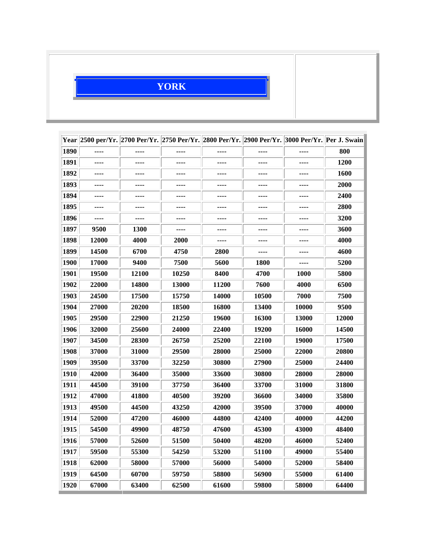## **YORK**

|             |       |              |              | Year 2500 per/Yr. 2700 Per/Yr. 2750 Per/Yr. 2800 Per/Yr. 2900 Per/Yr. 3000 Per/Yr. Per J. Swain |              |              |              |
|-------------|-------|--------------|--------------|-------------------------------------------------------------------------------------------------|--------------|--------------|--------------|
| 1890        | ----  | ----         | ----         | ----                                                                                            | ----         | ----         | 800          |
| 1891        | ----  | ----         | ----         | ----                                                                                            | ----         | ----         | <b>1200</b>  |
| 1892        | ----  | ----         | ----         | ----                                                                                            | ----         | ----         | <b>1600</b>  |
| 1893        | ----  | ----         | ----         | ----                                                                                            | ----         | ----         | 2000         |
| 1894        | ----  | ----         | ----         |                                                                                                 | ----         |              | 2400         |
| 1895        | ----  | ----         | ----         | ----                                                                                            | ----         | ----         | 2800         |
| 1896        | ----  | ----         | ----         | ----                                                                                            | ----         | ----         | 3200         |
| 1897        | 9500  | <b>1300</b>  | ----         | ----                                                                                            | ----         | ----         | 3600         |
| 1898        | 12000 | 4000         | <b>2000</b>  | ----                                                                                            | ----         | ----         | 4000         |
| 1899        | 14500 | 6700         | 4750         | <b>2800</b>                                                                                     |              |              | 4600         |
| <b>1900</b> | 17000 | 9400         | 7500         | 5600                                                                                            | <b>1800</b>  | ----         | 5200         |
| 1901        | 19500 | 12100        | 10250        | 8400                                                                                            | 4700         | <b>1000</b>  | 5800         |
| 1902        | 22000 | <b>14800</b> | <b>13000</b> | <b>11200</b>                                                                                    | 7600         | 4000         | 6500         |
| 1903        | 24500 | 17500        | 15750        | 14000                                                                                           | 10500        | 7000         | 7500         |
| 1904        | 27000 | <b>20200</b> | 18500        | 16800                                                                                           | 13400        | <b>10000</b> | 9500         |
| 1905        | 29500 | 22900        | 21250        | 19600                                                                                           | 16300        | <b>13000</b> | <b>12000</b> |
| 1906        | 32000 | 25600        | 24000        | 22400                                                                                           | 19200        | 16000        | 14500        |
| 1907        | 34500 | 28300        | 26750        | 25200                                                                                           | 22100        | 19000        | 17500        |
| 1908        | 37000 | <b>31000</b> | 29500        | <b>28000</b>                                                                                    | <b>25000</b> | <b>22000</b> | <b>20800</b> |
| 1909        | 39500 | 33700        | 32250        | 30800                                                                                           | 27900        | 25000        | <b>24400</b> |
| 1910        | 42000 | 36400        | 35000        | 33600                                                                                           | 30800        | 28000        | 28000        |
| 1911        | 44500 | 39100        | 37750        | 36400                                                                                           | 33700        | 31000        | 31800        |
| 1912        | 47000 | <b>41800</b> | 40500        | 39200                                                                                           | 36600        | 34000        | 35800        |
| 1913        | 49500 | 44500        | 43250        | 42000                                                                                           | 39500        | 37000        | 40000        |
| 1914        | 52000 | <b>47200</b> | 46000        | 44800                                                                                           | 42400        | 40000        | <b>44200</b> |
| 1915        | 54500 | 49900        | 48750        | 47600                                                                                           | 45300        | 43000        | 48400        |
| 1916        | 57000 | 52600        | 51500        | 50400                                                                                           | 48200        | 46000        | 52400        |
| 1917        | 59500 | 55300        | 54250        | 53200                                                                                           | 51100        | 49000        | 55400        |
| 1918        | 62000 | 58000        | 57000        | 56000                                                                                           | 54000        | 52000        | 58400        |
| 1919        | 64500 | 60700        | 59750        | 58800                                                                                           | 56900        | 55000        | 61400        |
| 1920        | 67000 | 63400        | 62500        | 61600                                                                                           | 59800        | 58000        | 64400        |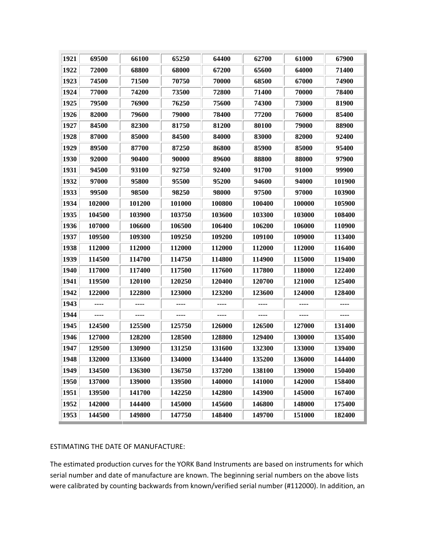| 1921 | 69500  | 66100  | 65250  | 64400  | 62700  | 61000  | 67900  |
|------|--------|--------|--------|--------|--------|--------|--------|
| 1922 | 72000  | 68800  | 68000  | 67200  | 65600  | 64000  | 71400  |
| 1923 | 74500  | 71500  | 70750  | 70000  | 68500  | 67000  | 74900  |
| 1924 | 77000  | 74200  | 73500  | 72800  | 71400  | 70000  | 78400  |
| 1925 | 79500  | 76900  | 76250  | 75600  | 74300  | 73000  | 81900  |
| 1926 | 82000  | 79600  | 79000  | 78400  | 77200  | 76000  | 85400  |
| 1927 | 84500  | 82300  | 81750  | 81200  | 80100  | 79000  | 88900  |
| 1928 | 87000  | 85000  | 84500  | 84000  | 83000  | 82000  | 92400  |
| 1929 | 89500  | 87700  | 87250  | 86800  | 85900  | 85000  | 95400  |
| 1930 | 92000  | 90400  | 90000  | 89600  | 88800  | 88000  | 97900  |
| 1931 | 94500  | 93100  | 92750  | 92400  | 91700  | 91000  | 99900  |
| 1932 | 97000  | 95800  | 95500  | 95200  | 94600  | 94000  | 101900 |
| 1933 | 99500  | 98500  | 98250  | 98000  | 97500  | 97000  | 103900 |
| 1934 | 102000 | 101200 | 101000 | 100800 | 100400 | 100000 | 105900 |
| 1935 | 104500 | 103900 | 103750 | 103600 | 103300 | 103000 | 108400 |
| 1936 | 107000 | 106600 | 106500 | 106400 | 106200 | 106000 | 110900 |
| 1937 | 109500 | 109300 | 109250 | 109200 | 109100 | 109000 | 113400 |
| 1938 | 112000 | 112000 | 112000 | 112000 | 112000 | 112000 | 116400 |
| 1939 | 114500 | 114700 | 114750 | 114800 | 114900 | 115000 | 119400 |
| 1940 | 117000 | 117400 | 117500 | 117600 | 117800 | 118000 | 122400 |
| 1941 | 119500 | 120100 | 120250 | 120400 | 120700 | 121000 | 125400 |
| 1942 | 122000 | 122800 | 123000 | 123200 | 123600 | 124000 | 128400 |
| 1943 |        |        |        |        |        |        |        |
| 1944 | ----   | ----   | ----   | ----   | ----   | ----   | ----   |
| 1945 | 124500 | 125500 | 125750 | 126000 | 126500 | 127000 | 131400 |
| 1946 | 127000 | 128200 | 128500 | 128800 | 129400 | 130000 | 135400 |
| 1947 | 129500 | 130900 | 131250 | 131600 | 132300 | 133000 | 139400 |
| 1948 | 132000 | 133600 | 134000 | 134400 | 135200 | 136000 | 144400 |
| 1949 | 134500 | 136300 | 136750 | 137200 | 138100 | 139000 | 150400 |
| 1950 | 137000 | 139000 | 139500 | 140000 | 141000 | 142000 | 158400 |
| 1951 | 139500 | 141700 | 142250 | 142800 | 143900 | 145000 | 167400 |
| 1952 | 142000 | 144400 | 145000 | 145600 | 146800 | 148000 | 175400 |
| 1953 | 144500 | 149800 | 147750 | 148400 | 149700 | 151000 | 182400 |

## ESTIMATING THE DATE OF MANUFACTURE:

The estimated production curves for the YORK Band Instruments are based on instruments for which serial number and date of manufacture are known. The beginning serial numbers on the above lists were calibrated by counting backwards from known/verified serial number (#112000). In addition, an